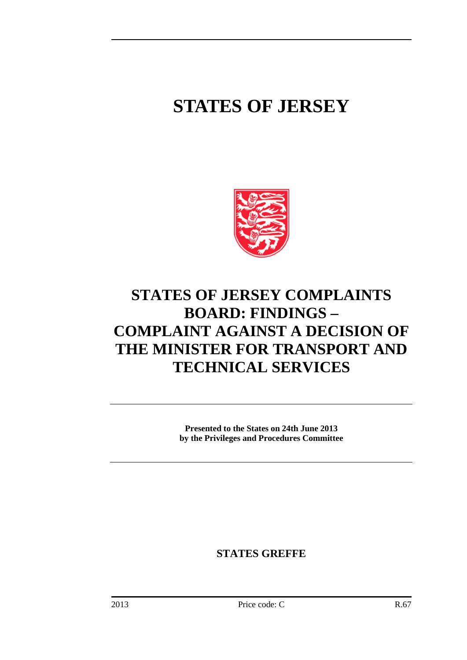# **STATES OF JERSEY**



# **STATES OF JERSEY COMPLAINTS BOARD: FINDINGS – COMPLAINT AGAINST A DECISION OF THE MINISTER FOR TRANSPORT AND TECHNICAL SERVICES**

**Presented to the States on 24th June 2013 by the Privileges and Procedures Committee**

**STATES GREFFE**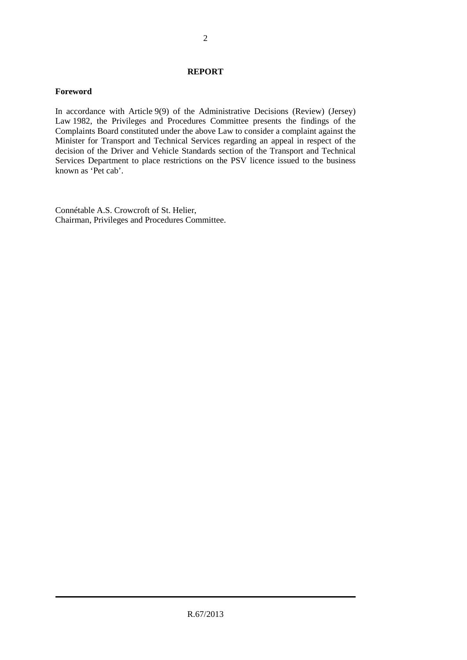#### **REPORT**

#### **Foreword**

In accordance with Article 9(9) of the Administrative Decisions (Review) (Jersey) Law 1982, the Privileges and Procedures Committee presents the findings of the Complaints Board constituted under the above Law to consider a complaint against the Minister for Transport and Technical Services regarding an appeal in respect of the decision of the Driver and Vehicle Standards section of the Transport and Technical Services Department to place restrictions on the PSV licence issued to the business known as 'Pet cab'.

Connétable A.S. Crowcroft of St. Helier, Chairman, Privileges and Procedures Committee.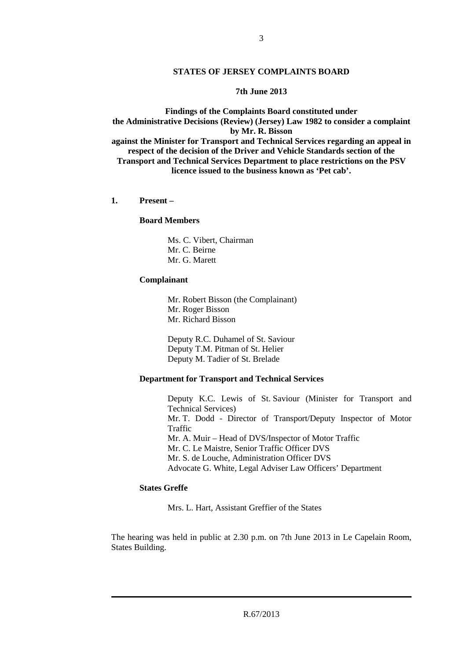#### **STATES OF JERSEY COMPLAINTS BOARD**

#### **7th June 2013**

**Findings of the Complaints Board constituted under the Administrative Decisions (Review) (Jersey) Law 1982 to consider a complaint by Mr. R. Bisson against the Minister for Transport and Technical Services regarding an appeal in respect of the decision of the Driver and Vehicle Standards section of the Transport and Technical Services Department to place restrictions on the PSV licence issued to the business known as 'Pet cab'.**

**1. Present –**

#### **Board Members**

Ms. C. Vibert, Chairman Mr. C. Beirne Mr. G. Marett

#### **Complainant**

Mr. Robert Bisson (the Complainant) Mr. Roger Bisson Mr. Richard Bisson

Deputy R.C. Duhamel of St. Saviour Deputy T.M. Pitman of St. Helier Deputy M. Tadier of St. Brelade

#### **Department for Transport and Technical Services**

Deputy K.C. Lewis of St. Saviour (Minister for Transport and Technical Services) Mr. T. Dodd - Director of Transport/Deputy Inspector of Motor Traffic Mr. A. Muir – Head of DVS/Inspector of Motor Traffic Mr. C. Le Maistre, Senior Traffic Officer DVS Mr. S. de Louche, Administration Officer DVS Advocate G. White, Legal Adviser Law Officers' Department

## **States Greffe**

Mrs. L. Hart, Assistant Greffier of the States

The hearing was held in public at 2.30 p.m. on 7th June 2013 in Le Capelain Room, States Building.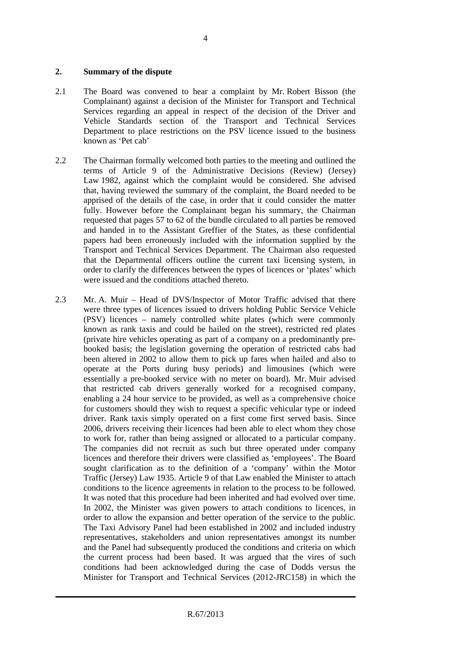#### **2. Summary of the dispute**

- 2.1 The Board was convened to hear a complaint by Mr. Robert Bisson (the Complainant) against a decision of the Minister for Transport and Technical Services regarding an appeal in respect of the decision of the Driver and Vehicle Standards section of the Transport and Technical Services Department to place restrictions on the PSV licence issued to the business known as 'Pet cab'
- 2.2 The Chairman formally welcomed both parties to the meeting and outlined the terms of Article 9 of the Administrative Decisions (Review) (Jersey) Law 1982, against which the complaint would be considered. She advised that, having reviewed the summary of the complaint, the Board needed to be apprised of the details of the case, in order that it could consider the matter fully. However before the Complainant began his summary, the Chairman requested that pages 57 to 62 of the bundle circulated to all parties be removed and handed in to the Assistant Greffier of the States, as these confidential papers had been erroneously included with the information supplied by the Transport and Technical Services Department. The Chairman also requested that the Departmental officers outline the current taxi licensing system, in order to clarify the differences between the types of licences or 'plates' which were issued and the conditions attached thereto.
- 2.3 Mr. A. Muir Head of DVS/Inspector of Motor Traffic advised that there were three types of licences issued to drivers holding Public Service Vehicle (PSV) licences – namely controlled white plates (which were commonly known as rank taxis and could be hailed on the street), restricted red plates (private hire vehicles operating as part of a company on a predominantly prebooked basis; the legislation governing the operation of restricted cabs had been altered in 2002 to allow them to pick up fares when hailed and also to operate at the Ports during busy periods) and limousines (which were essentially a pre-booked service with no meter on board). Mr. Muir advised that restricted cab drivers generally worked for a recognised company, enabling a 24 hour service to be provided, as well as a comprehensive choice for customers should they wish to request a specific vehicular type or indeed driver. Rank taxis simply operated on a first come first served basis. Since 2006, drivers receiving their licences had been able to elect whom they chose to work for, rather than being assigned or allocated to a particular company. The companies did not recruit as such but three operated under company licences and therefore their drivers were classified as 'employees'. The Board sought clarification as to the definition of a 'company' within the Motor Traffic (Jersey) Law 1935. Article 9 of that Law enabled the Minister to attach conditions to the licence agreements in relation to the process to be followed. It was noted that this procedure had been inherited and had evolved over time. In 2002, the Minister was given powers to attach conditions to licences, in order to allow the expansion and better operation of the service to the public. The Taxi Advisory Panel had been established in 2002 and included industry representatives, stakeholders and union representatives amongst its number and the Panel had subsequently produced the conditions and criteria on which the current process had been based. It was argued that the vires of such conditions had been acknowledged during the case of Dodds versus the Minister for Transport and Technical Services (2012-JRC158) in which the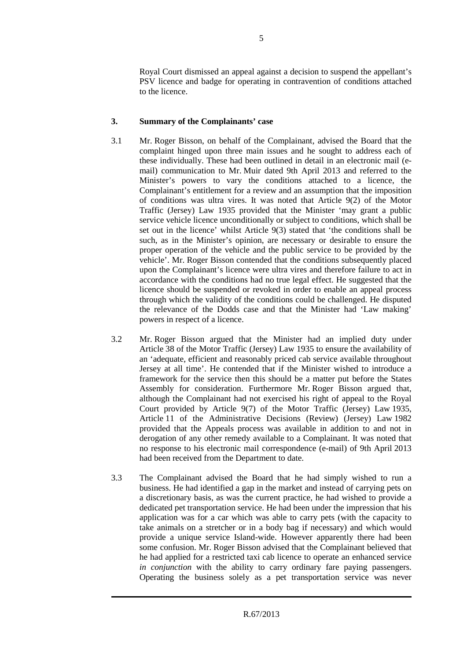Royal Court dismissed an appeal against a decision to suspend the appellant's PSV licence and badge for operating in contravention of conditions attached to the licence.

# **3. Summary of the Complainants' case**

- 3.1 Mr. Roger Bisson, on behalf of the Complainant, advised the Board that the complaint hinged upon three main issues and he sought to address each of these individually. These had been outlined in detail in an electronic mail (email) communication to Mr. Muir dated 9th April 2013 and referred to the Minister's powers to vary the conditions attached to a licence, the Complainant's entitlement for a review and an assumption that the imposition of conditions was ultra vires. It was noted that Article 9(2) of the Motor Traffic (Jersey) Law 1935 provided that the Minister 'may grant a public service vehicle licence unconditionally or subject to conditions, which shall be set out in the licence' whilst Article 9(3) stated that 'the conditions shall be such, as in the Minister's opinion, are necessary or desirable to ensure the proper operation of the vehicle and the public service to be provided by the vehicle'. Mr. Roger Bisson contended that the conditions subsequently placed upon the Complainant's licence were ultra vires and therefore failure to act in accordance with the conditions had no true legal effect. He suggested that the licence should be suspended or revoked in order to enable an appeal process through which the validity of the conditions could be challenged. He disputed the relevance of the Dodds case and that the Minister had 'Law making' powers in respect of a licence.
- 3.2 Mr. Roger Bisson argued that the Minister had an implied duty under Article 38 of the Motor Traffic (Jersey) Law 1935 to ensure the availability of an 'adequate, efficient and reasonably priced cab service available throughout Jersey at all time'. He contended that if the Minister wished to introduce a framework for the service then this should be a matter put before the States Assembly for consideration. Furthermore Mr. Roger Bisson argued that, although the Complainant had not exercised his right of appeal to the Royal Court provided by Article 9(7) of the Motor Traffic (Jersey) Law 1935, Article 11 of the Administrative Decisions (Review) (Jersey) Law 1982 provided that the Appeals process was available in addition to and not in derogation of any other remedy available to a Complainant. It was noted that no response to his electronic mail correspondence (e-mail) of 9th April 2013 had been received from the Department to date.
- 3.3 The Complainant advised the Board that he had simply wished to run a business. He had identified a gap in the market and instead of carrying pets on a discretionary basis, as was the current practice, he had wished to provide a dedicated pet transportation service. He had been under the impression that his application was for a car which was able to carry pets (with the capacity to take animals on a stretcher or in a body bag if necessary) and which would provide a unique service Island-wide. However apparently there had been some confusion. Mr. Roger Bisson advised that the Complainant believed that he had applied for a restricted taxi cab licence to operate an enhanced service *in conjunction* with the ability to carry ordinary fare paying passengers. Operating the business solely as a pet transportation service was never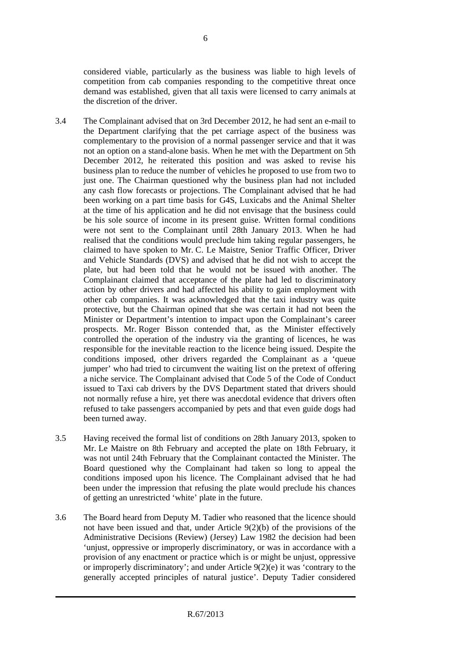considered viable, particularly as the business was liable to high levels of competition from cab companies responding to the competitive threat once demand was established, given that all taxis were licensed to carry animals at the discretion of the driver.

- 3.4 The Complainant advised that on 3rd December 2012, he had sent an e-mail to the Department clarifying that the pet carriage aspect of the business was complementary to the provision of a normal passenger service and that it was not an option on a stand-alone basis. When he met with the Department on 5th December 2012, he reiterated this position and was asked to revise his business plan to reduce the number of vehicles he proposed to use from two to just one. The Chairman questioned why the business plan had not included any cash flow forecasts or projections. The Complainant advised that he had been working on a part time basis for G4S, Luxicabs and the Animal Shelter at the time of his application and he did not envisage that the business could be his sole source of income in its present guise. Written formal conditions were not sent to the Complainant until 28th January 2013. When he had realised that the conditions would preclude him taking regular passengers, he claimed to have spoken to Mr. C. Le Maistre, Senior Traffic Officer, Driver and Vehicle Standards (DVS) and advised that he did not wish to accept the plate, but had been told that he would not be issued with another. The Complainant claimed that acceptance of the plate had led to discriminatory action by other drivers and had affected his ability to gain employment with other cab companies. It was acknowledged that the taxi industry was quite protective, but the Chairman opined that she was certain it had not been the Minister or Department's intention to impact upon the Complainant's career prospects. Mr. Roger Bisson contended that, as the Minister effectively controlled the operation of the industry via the granting of licences, he was responsible for the inevitable reaction to the licence being issued. Despite the conditions imposed, other drivers regarded the Complainant as a 'queue jumper' who had tried to circumvent the waiting list on the pretext of offering a niche service. The Complainant advised that Code 5 of the Code of Conduct issued to Taxi cab drivers by the DVS Department stated that drivers should not normally refuse a hire, yet there was anecdotal evidence that drivers often refused to take passengers accompanied by pets and that even guide dogs had been turned away.
- 3.5 Having received the formal list of conditions on 28th January 2013, spoken to Mr. Le Maistre on 8th February and accepted the plate on 18th February, it was not until 24th February that the Complainant contacted the Minister. The Board questioned why the Complainant had taken so long to appeal the conditions imposed upon his licence. The Complainant advised that he had been under the impression that refusing the plate would preclude his chances of getting an unrestricted 'white' plate in the future.
- 3.6 The Board heard from Deputy M. Tadier who reasoned that the licence should not have been issued and that, under Article 9(2)(b) of the provisions of the Administrative Decisions (Review) (Jersey) Law 1982 the decision had been 'unjust, oppressive or improperly discriminatory, or was in accordance with a provision of any enactment or practice which is or might be unjust, oppressive or improperly discriminatory'; and under Article 9(2)(e) it was 'contrary to the generally accepted principles of natural justice'. Deputy Tadier considered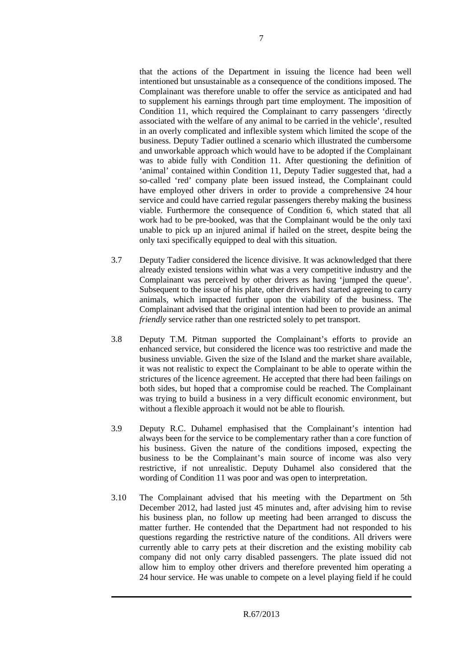that the actions of the Department in issuing the licence had been well intentioned but unsustainable as a consequence of the conditions imposed. The Complainant was therefore unable to offer the service as anticipated and had to supplement his earnings through part time employment. The imposition of Condition 11, which required the Complainant to carry passengers 'directly associated with the welfare of any animal to be carried in the vehicle', resulted in an overly complicated and inflexible system which limited the scope of the business. Deputy Tadier outlined a scenario which illustrated the cumbersome and unworkable approach which would have to be adopted if the Complainant was to abide fully with Condition 11. After questioning the definition of 'animal' contained within Condition 11, Deputy Tadier suggested that, had a so-called 'red' company plate been issued instead, the Complainant could have employed other drivers in order to provide a comprehensive 24 hour service and could have carried regular passengers thereby making the business viable. Furthermore the consequence of Condition 6, which stated that all work had to be pre-booked, was that the Complainant would be the only taxi unable to pick up an injured animal if hailed on the street, despite being the only taxi specifically equipped to deal with this situation.

- 3.7 Deputy Tadier considered the licence divisive. It was acknowledged that there already existed tensions within what was a very competitive industry and the Complainant was perceived by other drivers as having 'jumped the queue'. Subsequent to the issue of his plate, other drivers had started agreeing to carry animals, which impacted further upon the viability of the business. The Complainant advised that the original intention had been to provide an animal *friendly* service rather than one restricted solely to pet transport.
- 3.8 Deputy T.M. Pitman supported the Complainant's efforts to provide an enhanced service, but considered the licence was too restrictive and made the business unviable. Given the size of the Island and the market share available, it was not realistic to expect the Complainant to be able to operate within the strictures of the licence agreement. He accepted that there had been failings on both sides, but hoped that a compromise could be reached. The Complainant was trying to build a business in a very difficult economic environment, but without a flexible approach it would not be able to flourish.
- 3.9 Deputy R.C. Duhamel emphasised that the Complainant's intention had always been for the service to be complementary rather than a core function of his business. Given the nature of the conditions imposed, expecting the business to be the Complainant's main source of income was also very restrictive, if not unrealistic. Deputy Duhamel also considered that the wording of Condition 11 was poor and was open to interpretation.
- 3.10 The Complainant advised that his meeting with the Department on 5th December 2012, had lasted just 45 minutes and, after advising him to revise his business plan, no follow up meeting had been arranged to discuss the matter further. He contended that the Department had not responded to his questions regarding the restrictive nature of the conditions. All drivers were currently able to carry pets at their discretion and the existing mobility cab company did not only carry disabled passengers. The plate issued did not allow him to employ other drivers and therefore prevented him operating a 24 hour service. He was unable to compete on a level playing field if he could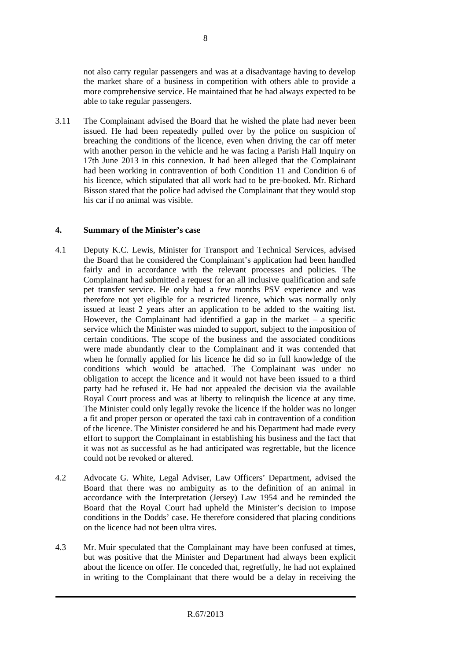not also carry regular passengers and was at a disadvantage having to develop the market share of a business in competition with others able to provide a more comprehensive service. He maintained that he had always expected to be able to take regular passengers.

3.11 The Complainant advised the Board that he wished the plate had never been issued. He had been repeatedly pulled over by the police on suspicion of breaching the conditions of the licence, even when driving the car off meter with another person in the vehicle and he was facing a Parish Hall Inquiry on 17th June 2013 in this connexion. It had been alleged that the Complainant had been working in contravention of both Condition 11 and Condition 6 of his licence, which stipulated that all work had to be pre-booked. Mr. Richard Bisson stated that the police had advised the Complainant that they would stop his car if no animal was visible.

## **4. Summary of the Minister's case**

- 4.1 Deputy K.C. Lewis, Minister for Transport and Technical Services, advised the Board that he considered the Complainant's application had been handled fairly and in accordance with the relevant processes and policies. The Complainant had submitted a request for an all inclusive qualification and safe pet transfer service. He only had a few months PSV experience and was therefore not yet eligible for a restricted licence, which was normally only issued at least 2 years after an application to be added to the waiting list. However, the Complainant had identified a gap in the market  $-$  a specific service which the Minister was minded to support, subject to the imposition of certain conditions. The scope of the business and the associated conditions were made abundantly clear to the Complainant and it was contended that when he formally applied for his licence he did so in full knowledge of the conditions which would be attached. The Complainant was under no obligation to accept the licence and it would not have been issued to a third party had he refused it. He had not appealed the decision via the available Royal Court process and was at liberty to relinquish the licence at any time. The Minister could only legally revoke the licence if the holder was no longer a fit and proper person or operated the taxi cab in contravention of a condition of the licence. The Minister considered he and his Department had made every effort to support the Complainant in establishing his business and the fact that it was not as successful as he had anticipated was regrettable, but the licence could not be revoked or altered.
- 4.2 Advocate G. White, Legal Adviser, Law Officers' Department, advised the Board that there was no ambiguity as to the definition of an animal in accordance with the Interpretation (Jersey) Law 1954 and he reminded the Board that the Royal Court had upheld the Minister's decision to impose conditions in the Dodds' case. He therefore considered that placing conditions on the licence had not been ultra vires.
- 4.3 Mr. Muir speculated that the Complainant may have been confused at times, but was positive that the Minister and Department had always been explicit about the licence on offer. He conceded that, regretfully, he had not explained in writing to the Complainant that there would be a delay in receiving the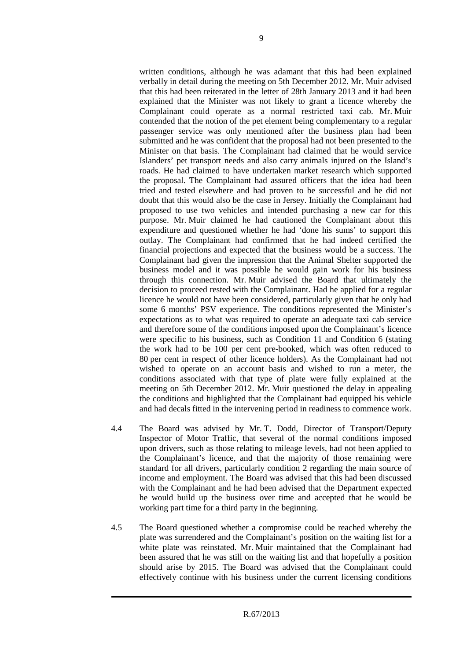written conditions, although he was adamant that this had been explained verbally in detail during the meeting on 5th December 2012. Mr. Muir advised that this had been reiterated in the letter of 28th January 2013 and it had been explained that the Minister was not likely to grant a licence whereby the Complainant could operate as a normal restricted taxi cab. Mr. Muir contended that the notion of the pet element being complementary to a regular passenger service was only mentioned after the business plan had been submitted and he was confident that the proposal had not been presented to the Minister on that basis. The Complainant had claimed that he would service Islanders' pet transport needs and also carry animals injured on the Island's roads. He had claimed to have undertaken market research which supported the proposal. The Complainant had assured officers that the idea had been tried and tested elsewhere and had proven to be successful and he did not doubt that this would also be the case in Jersey. Initially the Complainant had proposed to use two vehicles and intended purchasing a new car for this purpose. Mr. Muir claimed he had cautioned the Complainant about this expenditure and questioned whether he had 'done his sums' to support this outlay. The Complainant had confirmed that he had indeed certified the financial projections and expected that the business would be a success. The Complainant had given the impression that the Animal Shelter supported the business model and it was possible he would gain work for his business through this connection. Mr. Muir advised the Board that ultimately the decision to proceed rested with the Complainant. Had he applied for a regular licence he would not have been considered, particularly given that he only had some 6 months' PSV experience. The conditions represented the Minister's expectations as to what was required to operate an adequate taxi cab service and therefore some of the conditions imposed upon the Complainant's licence were specific to his business, such as Condition 11 and Condition 6 (stating the work had to be 100 per cent pre-booked, which was often reduced to 80 per cent in respect of other licence holders). As the Complainant had not wished to operate on an account basis and wished to run a meter, the conditions associated with that type of plate were fully explained at the meeting on 5th December 2012. Mr. Muir questioned the delay in appealing the conditions and highlighted that the Complainant had equipped his vehicle and had decals fitted in the intervening period in readiness to commence work.

- 4.4 The Board was advised by Mr. T. Dodd, Director of Transport/Deputy Inspector of Motor Traffic, that several of the normal conditions imposed upon drivers, such as those relating to mileage levels, had not been applied to the Complainant's licence, and that the majority of those remaining were standard for all drivers, particularly condition 2 regarding the main source of income and employment. The Board was advised that this had been discussed with the Complainant and he had been advised that the Department expected he would build up the business over time and accepted that he would be working part time for a third party in the beginning.
- 4.5 The Board questioned whether a compromise could be reached whereby the plate was surrendered and the Complainant's position on the waiting list for a white plate was reinstated. Mr. Muir maintained that the Complainant had been assured that he was still on the waiting list and that hopefully a position should arise by 2015. The Board was advised that the Complainant could effectively continue with his business under the current licensing conditions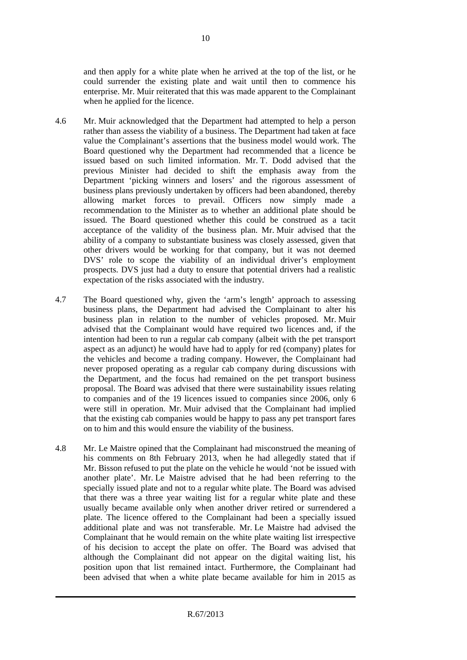and then apply for a white plate when he arrived at the top of the list, or he could surrender the existing plate and wait until then to commence his enterprise. Mr. Muir reiterated that this was made apparent to the Complainant when he applied for the licence.

- 4.6 Mr. Muir acknowledged that the Department had attempted to help a person rather than assess the viability of a business. The Department had taken at face value the Complainant's assertions that the business model would work. The Board questioned why the Department had recommended that a licence be issued based on such limited information. Mr. T. Dodd advised that the previous Minister had decided to shift the emphasis away from the Department 'picking winners and losers' and the rigorous assessment of business plans previously undertaken by officers had been abandoned, thereby allowing market forces to prevail. Officers now simply made a recommendation to the Minister as to whether an additional plate should be issued. The Board questioned whether this could be construed as a tacit acceptance of the validity of the business plan. Mr. Muir advised that the ability of a company to substantiate business was closely assessed, given that other drivers would be working for that company, but it was not deemed DVS' role to scope the viability of an individual driver's employment prospects. DVS just had a duty to ensure that potential drivers had a realistic expectation of the risks associated with the industry.
- 4.7 The Board questioned why, given the 'arm's length' approach to assessing business plans, the Department had advised the Complainant to alter his business plan in relation to the number of vehicles proposed. Mr. Muir advised that the Complainant would have required two licences and, if the intention had been to run a regular cab company (albeit with the pet transport aspect as an adjunct) he would have had to apply for red (company) plates for the vehicles and become a trading company. However, the Complainant had never proposed operating as a regular cab company during discussions with the Department, and the focus had remained on the pet transport business proposal. The Board was advised that there were sustainability issues relating to companies and of the 19 licences issued to companies since 2006, only 6 were still in operation. Mr. Muir advised that the Complainant had implied that the existing cab companies would be happy to pass any pet transport fares on to him and this would ensure the viability of the business.
- 4.8 Mr. Le Maistre opined that the Complainant had misconstrued the meaning of his comments on 8th February 2013, when he had allegedly stated that if Mr. Bisson refused to put the plate on the vehicle he would 'not be issued with another plate'. Mr. Le Maistre advised that he had been referring to the specially issued plate and not to a regular white plate. The Board was advised that there was a three year waiting list for a regular white plate and these usually became available only when another driver retired or surrendered a plate. The licence offered to the Complainant had been a specially issued additional plate and was not transferable. Mr. Le Maistre had advised the Complainant that he would remain on the white plate waiting list irrespective of his decision to accept the plate on offer. The Board was advised that although the Complainant did not appear on the digital waiting list, his position upon that list remained intact. Furthermore, the Complainant had been advised that when a white plate became available for him in 2015 as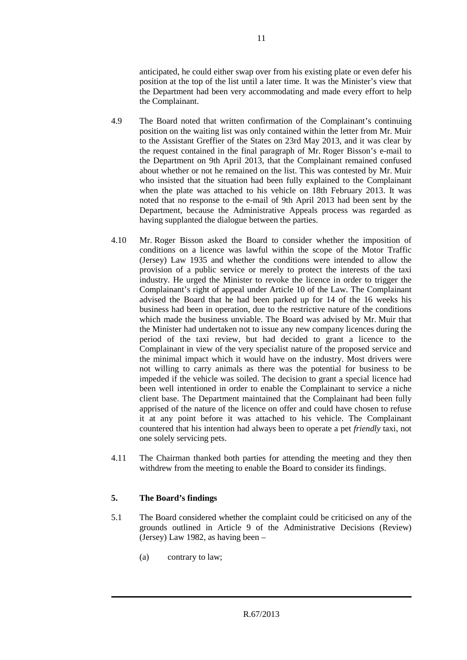anticipated, he could either swap over from his existing plate or even defer his position at the top of the list until a later time. It was the Minister's view that the Department had been very accommodating and made every effort to help the Complainant.

- 4.9 The Board noted that written confirmation of the Complainant's continuing position on the waiting list was only contained within the letter from Mr. Muir to the Assistant Greffier of the States on 23rd May 2013, and it was clear by the request contained in the final paragraph of Mr. Roger Bisson's e-mail to the Department on 9th April 2013, that the Complainant remained confused about whether or not he remained on the list. This was contested by Mr. Muir who insisted that the situation had been fully explained to the Complainant when the plate was attached to his vehicle on 18th February 2013. It was noted that no response to the e-mail of 9th April 2013 had been sent by the Department, because the Administrative Appeals process was regarded as having supplanted the dialogue between the parties.
- 4.10 Mr. Roger Bisson asked the Board to consider whether the imposition of conditions on a licence was lawful within the scope of the Motor Traffic (Jersey) Law 1935 and whether the conditions were intended to allow the provision of a public service or merely to protect the interests of the taxi industry. He urged the Minister to revoke the licence in order to trigger the Complainant's right of appeal under Article 10 of the Law. The Complainant advised the Board that he had been parked up for 14 of the 16 weeks his business had been in operation, due to the restrictive nature of the conditions which made the business unviable. The Board was advised by Mr. Muir that the Minister had undertaken not to issue any new company licences during the period of the taxi review, but had decided to grant a licence to the Complainant in view of the very specialist nature of the proposed service and the minimal impact which it would have on the industry. Most drivers were not willing to carry animals as there was the potential for business to be impeded if the vehicle was soiled. The decision to grant a special licence had been well intentioned in order to enable the Complainant to service a niche client base. The Department maintained that the Complainant had been fully apprised of the nature of the licence on offer and could have chosen to refuse it at any point before it was attached to his vehicle. The Complainant countered that his intention had always been to operate a pet *friendly* taxi, not one solely servicing pets.
- 4.11 The Chairman thanked both parties for attending the meeting and they then withdrew from the meeting to enable the Board to consider its findings.

# **5. The Board's findings**

- 5.1 The Board considered whether the complaint could be criticised on any of the grounds outlined in Article 9 of the Administrative Decisions (Review) (Jersey) Law 1982, as having been –
	- (a) contrary to law;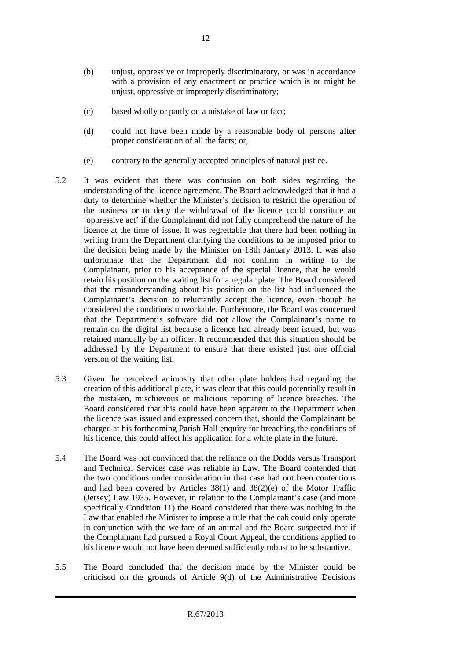- (b) unjust, oppressive or improperly discriminatory, or was in accordance with a provision of any enactment or practice which is or might be unjust, oppressive or improperly discriminatory;
- (c) based wholly or partly on a mistake of law or fact;
- (d) could not have been made by a reasonable body of persons after proper consideration of all the facts; or,
- (e) contrary to the generally accepted principles of natural justice.
- 5.2 It was evident that there was confusion on both sides regarding the understanding of the licence agreement. The Board acknowledged that it had a duty to determine whether the Minister's decision to restrict the operation of the business or to deny the withdrawal of the licence could constitute an 'oppressive act' if the Complainant did not fully comprehend the nature of the licence at the time of issue. It was regrettable that there had been nothing in writing from the Department clarifying the conditions to be imposed prior to the decision being made by the Minister on 18th January 2013. It was also unfortunate that the Department did not confirm in writing to the Complainant, prior to his acceptance of the special licence, that he would retain his position on the waiting list for a regular plate. The Board considered that the misunderstanding about his position on the list had influenced the Complainant's decision to reluctantly accept the licence, even though he considered the conditions unworkable. Furthermore, the Board was concerned that the Department's software did not allow the Complainant's name to remain on the digital list because a licence had already been issued, but was retained manually by an officer. It recommended that this situation should be addressed by the Department to ensure that there existed just one official version of the waiting list.
- 5.3 Given the perceived animosity that other plate holders had regarding the creation of this additional plate, it was clear that this could potentially result in the mistaken, mischievous or malicious reporting of licence breaches. The Board considered that this could have been apparent to the Department when the licence was issued and expressed concern that, should the Complainant be charged at his forthcoming Parish Hall enquiry for breaching the conditions of his licence, this could affect his application for a white plate in the future.
- 5.4 The Board was not convinced that the reliance on the Dodds versus Transport and Technical Services case was reliable in Law. The Board contended that the two conditions under consideration in that case had not been contentious and had been covered by Articles 38(1) and 38(2)(e) of the Motor Traffic (Jersey) Law 1935. However, in relation to the Complainant's case (and more specifically Condition 11) the Board considered that there was nothing in the Law that enabled the Minister to impose a rule that the cab could only operate in conjunction with the welfare of an animal and the Board suspected that if the Complainant had pursued a Royal Court Appeal, the conditions applied to his licence would not have been deemed sufficiently robust to be substantive.
- 5.5 The Board concluded that the decision made by the Minister could be criticised on the grounds of Article 9(d) of the Administrative Decisions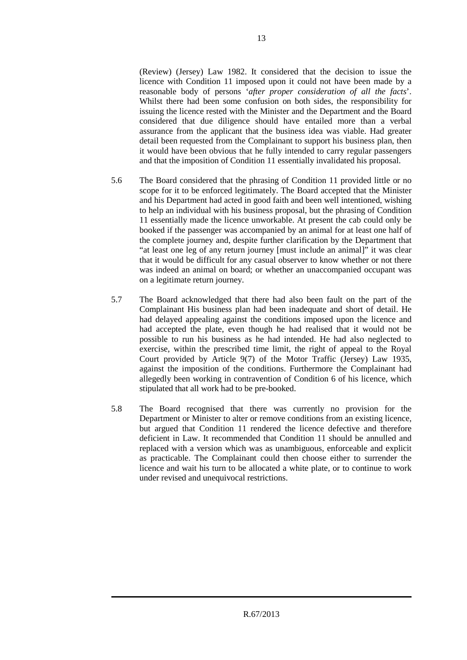(Review) (Jersey) Law 1982. It considered that the decision to issue the licence with Condition 11 imposed upon it could not have been made by a reasonable body of persons '*after proper consideration of all the facts*'. Whilst there had been some confusion on both sides, the responsibility for issuing the licence rested with the Minister and the Department and the Board considered that due diligence should have entailed more than a verbal assurance from the applicant that the business idea was viable. Had greater detail been requested from the Complainant to support his business plan, then it would have been obvious that he fully intended to carry regular passengers and that the imposition of Condition 11 essentially invalidated his proposal.

- 5.6 The Board considered that the phrasing of Condition 11 provided little or no scope for it to be enforced legitimately. The Board accepted that the Minister and his Department had acted in good faith and been well intentioned, wishing to help an individual with his business proposal, but the phrasing of Condition 11 essentially made the licence unworkable. At present the cab could only be booked if the passenger was accompanied by an animal for at least one half of the complete journey and, despite further clarification by the Department that "at least one leg of any return journey [must include an animal]" it was clear that it would be difficult for any casual observer to know whether or not there was indeed an animal on board; or whether an unaccompanied occupant was on a legitimate return journey.
- 5.7 The Board acknowledged that there had also been fault on the part of the Complainant His business plan had been inadequate and short of detail. He had delayed appealing against the conditions imposed upon the licence and had accepted the plate, even though he had realised that it would not be possible to run his business as he had intended. He had also neglected to exercise, within the prescribed time limit, the right of appeal to the Royal Court provided by Article 9(7) of the Motor Traffic (Jersey) Law 1935, against the imposition of the conditions. Furthermore the Complainant had allegedly been working in contravention of Condition 6 of his licence, which stipulated that all work had to be pre-booked.
- 5.8 The Board recognised that there was currently no provision for the Department or Minister to alter or remove conditions from an existing licence, but argued that Condition 11 rendered the licence defective and therefore deficient in Law. It recommended that Condition 11 should be annulled and replaced with a version which was as unambiguous, enforceable and explicit as practicable. The Complainant could then choose either to surrender the licence and wait his turn to be allocated a white plate, or to continue to work under revised and unequivocal restrictions.